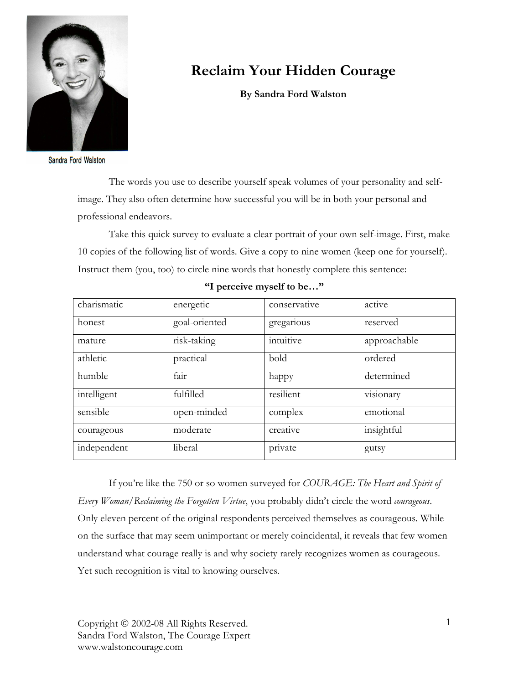

# **Reclaim Your Hidden Courage**

**By Sandra Ford Walston** 

**Sandra Ford Walston** 

The words you use to describe yourself speak volumes of your personality and selfimage. They also often determine how successful you will be in both your personal and professional endeavors.

 Take this quick survey to evaluate a clear portrait of your own self-image. First, make 10 copies of the following list of words. Give a copy to nine women (keep one for yourself). Instruct them (you, too) to circle nine words that honestly complete this sentence:

| charismatic | energetic     | conservative | active       |
|-------------|---------------|--------------|--------------|
| honest      | goal-oriented | gregarious   | reserved     |
| mature      | risk-taking   | intuitive    | approachable |
| athletic    | practical     | bold         | ordered      |
| humble      | fair          | happy        | determined   |
| intelligent | fulfilled     | resilient    | visionary    |
| sensible    | open-minded   | complex      | emotional    |
| courageous  | moderate      | creative     | insightful   |
| independent | liberal       | private      | gutsy        |

|  |  | "I perceive myself to be" |  |
|--|--|---------------------------|--|
|--|--|---------------------------|--|

 If you're like the 750 or so women surveyed for *COURAGE: The Heart and Spirit of Every Woman/Reclaiming the Forgotten Virtue*, you probably didn't circle the word *courageous*. Only eleven percent of the original respondents perceived themselves as courageous. While on the surface that may seem unimportant or merely coincidental, it reveals that few women understand what courage really is and why society rarely recognizes women as courageous. Yet such recognition is vital to knowing ourselves.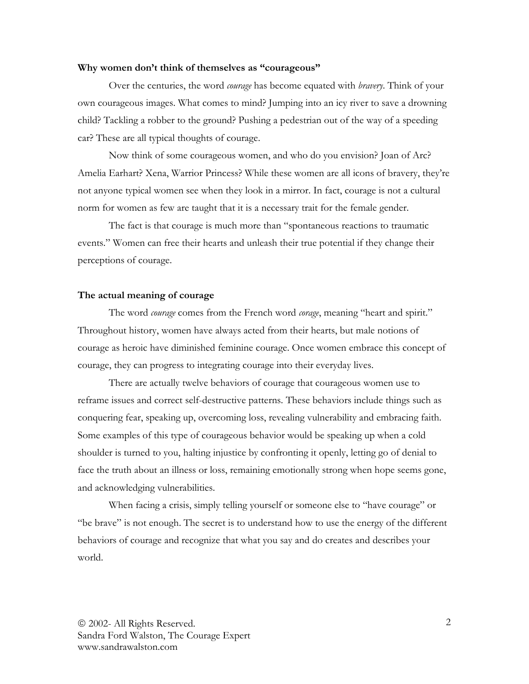#### **Why women don't think of themselves as "courageous"**

Over the centuries, the word *courage* has become equated with *bravery*. Think of your own courageous images. What comes to mind? Jumping into an icy river to save a drowning child? Tackling a robber to the ground? Pushing a pedestrian out of the way of a speeding car? These are all typical thoughts of courage.

Now think of some courageous women, and who do you envision? Joan of Arc? Amelia Earhart? Xena, Warrior Princess? While these women are all icons of bravery, they're not anyone typical women see when they look in a mirror. In fact, courage is not a cultural norm for women as few are taught that it is a necessary trait for the female gender.

 The fact is that courage is much more than "spontaneous reactions to traumatic events." Women can free their hearts and unleash their true potential if they change their perceptions of courage.

### **The actual meaning of courage**

The word *courage* comes from the French word *corage*, meaning "heart and spirit." Throughout history, women have always acted from their hearts, but male notions of courage as heroic have diminished feminine courage. Once women embrace this concept of courage, they can progress to integrating courage into their everyday lives.

There are actually twelve behaviors of courage that courageous women use to reframe issues and correct self-destructive patterns. These behaviors include things such as conquering fear, speaking up, overcoming loss, revealing vulnerability and embracing faith. Some examples of this type of courageous behavior would be speaking up when a cold shoulder is turned to you, halting injustice by confronting it openly, letting go of denial to face the truth about an illness or loss, remaining emotionally strong when hope seems gone, and acknowledging vulnerabilities.

When facing a crisis, simply telling yourself or someone else to "have courage" or "be brave" is not enough. The secret is to understand how to use the energy of the different behaviors of courage and recognize that what you say and do creates and describes your world.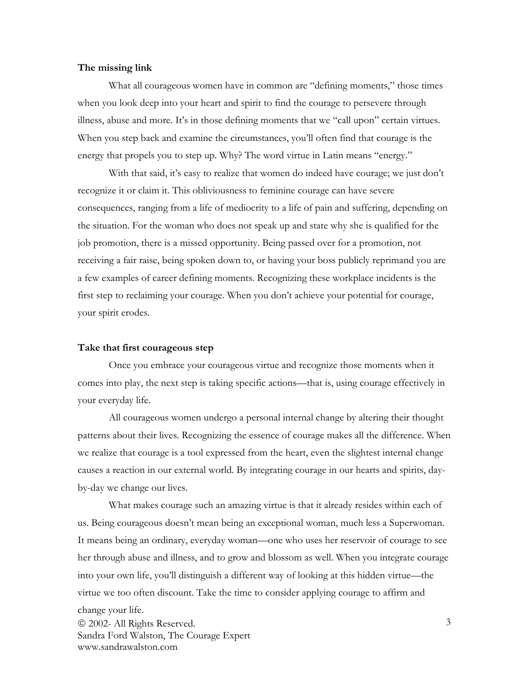## **The missing link**

What all courageous women have in common are "defining moments," those times when you look deep into your heart and spirit to find the courage to persevere through illness, abuse and more. It's in those defining moments that we "call upon" certain virtues. When you step back and examine the circumstances, you'll often find that courage is the energy that propels you to step up. Why? The word virtue in Latin means "energy."

With that said, it's easy to realize that women do indeed have courage; we just don't recognize it or claim it. This obliviousness to feminine courage can have severe consequences, ranging from a life of mediocrity to a life of pain and suffering, depending on the situation. For the woman who does not speak up and state why she is qualified for the job promotion, there is a missed opportunity. Being passed over for a promotion, not receiving a fair raise, being spoken down to, or having your boss publicly reprimand you are a few examples of career defining moments. Recognizing these workplace incidents is the first step to reclaiming your courage. When you don't achieve your potential for courage, your spirit erodes.

## **Take that first courageous step**

Once you embrace your courageous virtue and recognize those moments when it comes into play, the next step is taking specific actions—that is, using courage effectively in your everyday life.

 All courageous women undergo a personal internal change by altering their thought patterns about their lives. Recognizing the essence of courage makes all the difference. When we realize that courage is a tool expressed from the heart, even the slightest internal change causes a reaction in our external world. By integrating courage in our hearts and spirits, dayby-day we change our lives.

 What makes courage such an amazing virtue is that it already resides within each of us. Being courageous doesn't mean being an exceptional woman, much less a Superwoman. It means being an ordinary, everyday woman—one who uses her reservoir of courage to see her through abuse and illness, and to grow and blossom as well. When you integrate courage into your own life, you'll distinguish a different way of looking at this hidden virtue—the virtue we too often discount. Take the time to consider applying courage to affirm and

 2002- All Rights Reserved. Sandra Ford Walston, The Courage Expert www.sandrawalston.com change your life.